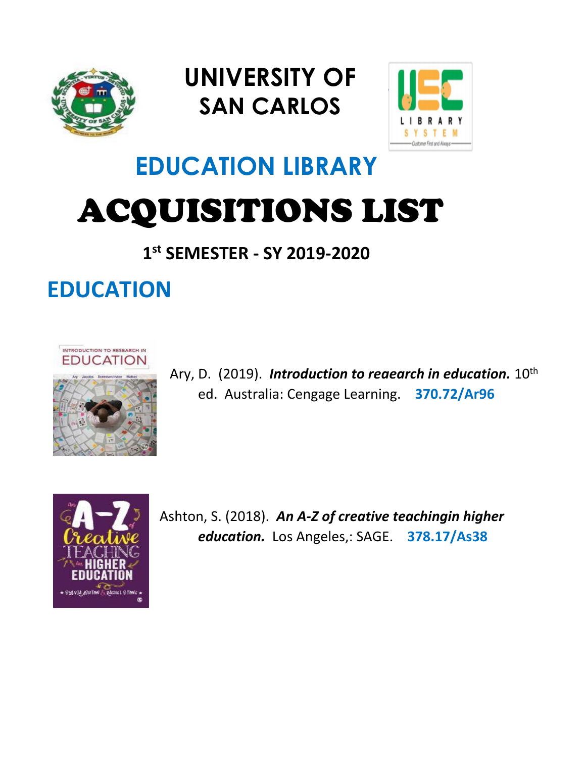

## **UNIVERSITY OF SAN CARLOS**



# **EDUCATION LIBRARY** ACQUISITIONS LIST

#### **1 st SEMESTER - SY 2019-2020**

### **EDUCATION**



Ary, D. (2019). *Introduction to reaearch in education.*  $10^{th}$ ed. Australia: Cengage Learning. **370.72/Ar96**



Ashton, S. (2018). *An A-Z of creative teachingin higher education.* Los Angeles,: SAGE. **378.17/As38**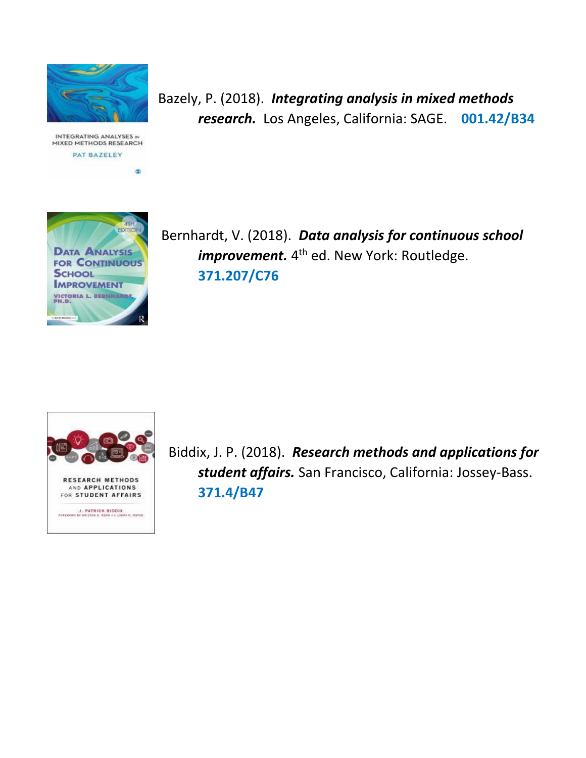

INTEGRATING ANALYSES IN MIXED METHODS RESEARCH PAT BAZELEY

 $\circledast$ 

Bazely, P. (2018). *Integrating analysis in mixed methods research.* Los Angeles, California: SAGE. **001.42/B34**



 Bernhardt, V. (2018). *Data analysis for continuous school improvement.* 4<sup>th</sup> ed. New York: Routledge. **371.207/C76**



 Biddix, J. P. (2018). *Research methods and applications for student affairs.* San Francisco, California: Jossey-Bass. **371.4/B47**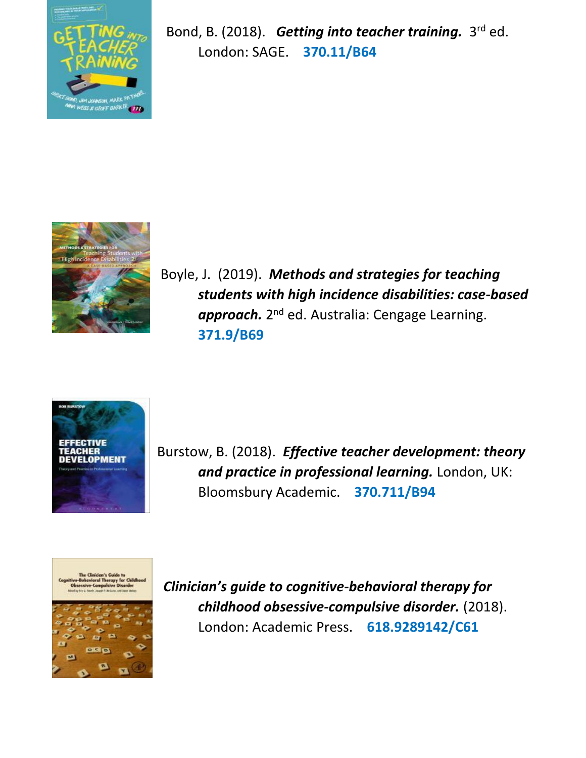

Bond, B. (2018). Getting into teacher training. 3<sup>rd</sup> ed. London: SAGE. **370.11/B64**



Boyle, J. (2019). *Methods and strategies for teaching students with high incidence disabilities: case-based*  approach. 2<sup>nd</sup> ed. Australia: Cengage Learning. **371.9/B69**



Burstow, B. (2018). *Effective teacher development: theory and practice in professional learning.* London, UK: Bloomsbury Academic. **370.711/B94**



*Clinician's guide to cognitive-behavioral therapy for childhood obsessive-compulsive disorder.* (2018). London: Academic Press. **618.9289142/C61**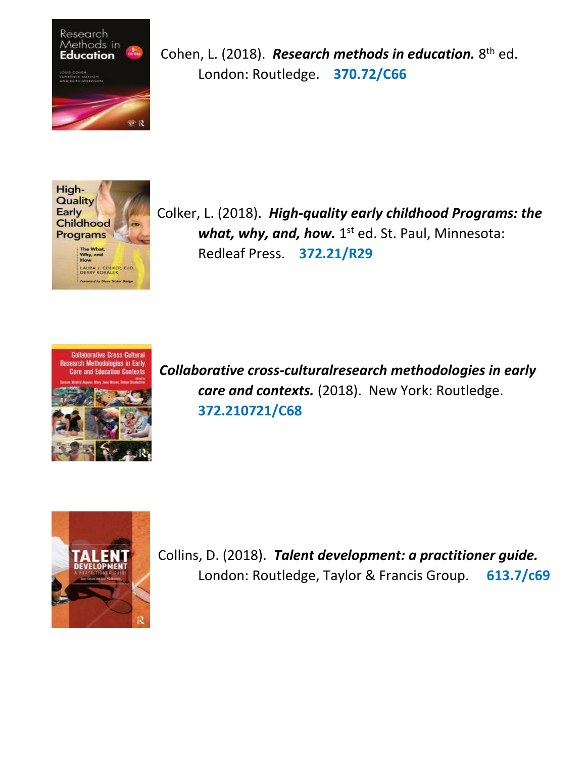

Cohen, L. (2018). Research methods in education. 8<sup>th</sup> ed. London: Routledge. **370.72/C66**



Colker, L. (2018). *High-quality early childhood Programs: the* what, why, and, how. 1<sup>st</sup> ed. St. Paul, Minnesota: Redleaf Press. **372.21/R29**



*Collaborative cross-culturalresearch methodologies in early care and contexts.* (2018). New York: Routledge. **372.210721/C68**



Collins, D. (2018). *Talent development: a practitioner guide.* London: Routledge, Taylor & Francis Group. **613.7/c69**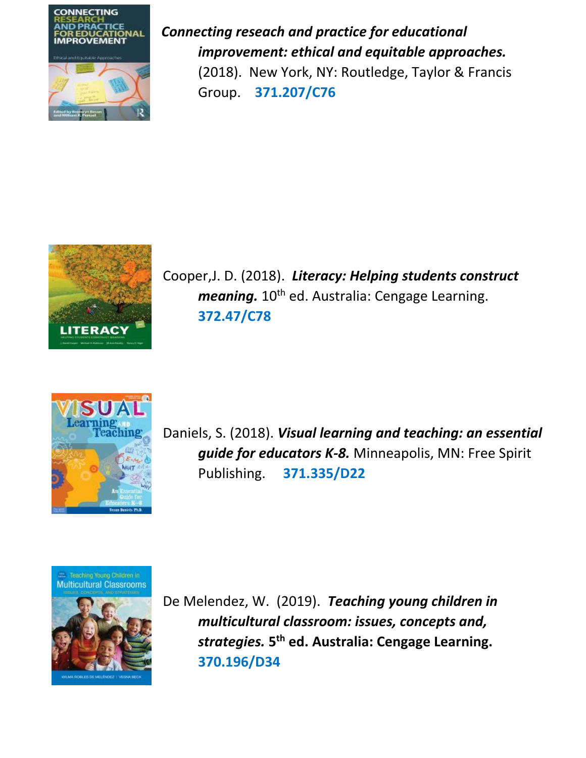

*Connecting reseach and practice for educational improvement: ethical and equitable approaches.* (2018). New York, NY: Routledge, Taylor & Francis Group. **371.207/C76**



Cooper,J. D. (2018). *Literacy: Helping students construct meaning.* 10<sup>th</sup> ed. Australia: Cengage Learning. **372.47/C78**



Daniels, S. (2018). *Visual learning and teaching: an essential guide for educators K-8.* Minneapolis, MN: Free Spirit Publishing. **371.335/D22**

E Teaching Young Children in<br>Multicultural Classrooms



De Melendez, W. (2019). *Teaching young children in multicultural classroom: issues, concepts and, strategies.* **5 th ed. Australia: Cengage Learning. 370.196/D34**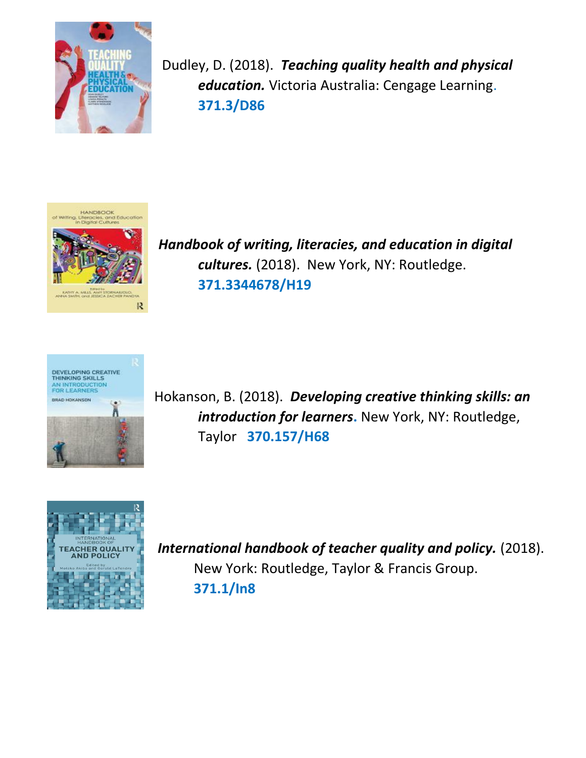

Dudley, D. (2018). *Teaching quality health and physical education.* Victoria Australia: Cengage Learning. **371.3/D86**



*Handbook of writing, literacies, and education in digital cultures.* (2018). New York, NY: Routledge. **371.3344678/H19**



Hokanson, B. (2018). *Developing creative thinking skills: an introduction for learners*. New York, NY: Routledge, Taylor **370.157/H68**



 *International handbook of teacher quality and policy.* (2018). New York: Routledge, Taylor & Francis Group. **371.1/In8**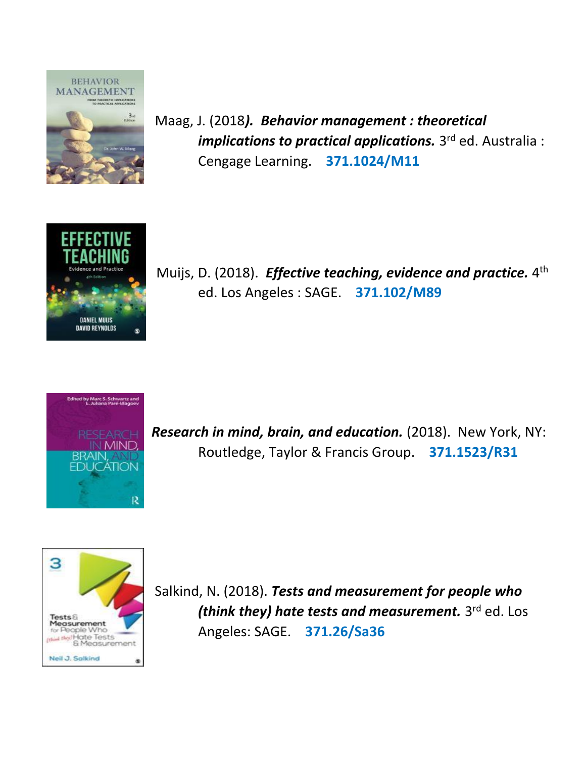

Maag, J. (2018*). Behavior management : theoretical implications to practical applications.* 3 rd ed. Australia : Cengage Learning. **371.1024/M11**



Muijs, D. (2018). *Effective teaching, evidence and practice.* 4<sup>th</sup> ed. Los Angeles : SAGE. **371.102/M89**



*Research in mind, brain, and education.* (2018). New York, NY: Routledge, Taylor & Francis Group. **371.1523/R31**



Salkind, N. (2018). *Tests and measurement for people who (think they) hate tests and measurement.* 3 rd ed. Los Angeles: SAGE. **371.26/Sa36**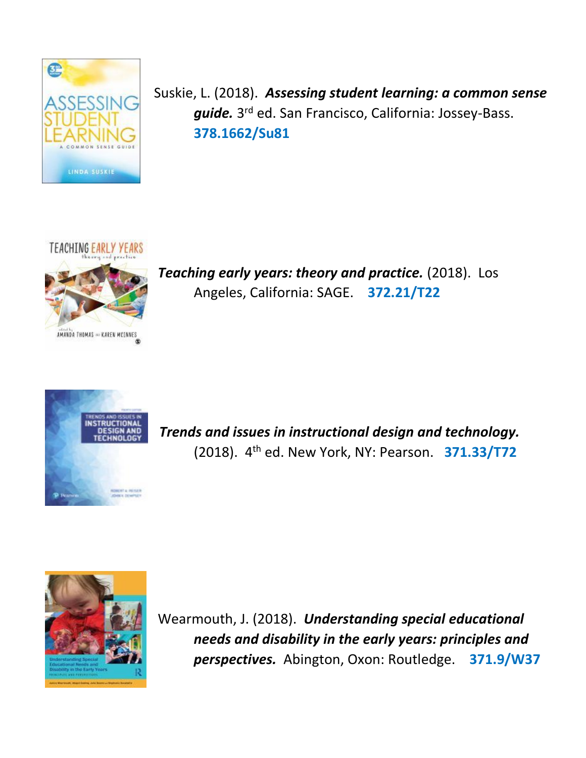

 Suskie, L. (2018). *Assessing student learning: a common sense guide.* 3 rd ed. San Francisco, California: Jossey-Bass. **378.1662/Su81**



*Teaching early years: theory and practice.* (2018). Los Angeles, California: SAGE. **372.21/T22**



*Trends and issues in instructional design and technology.* (2018). 4th ed. New York, NY: Pearson. **371.33/T72**



Wearmouth, J. (2018). *Understanding special educational needs and disability in the early years: principles and perspectives.* Abington, Oxon: Routledge. **371.9/W37**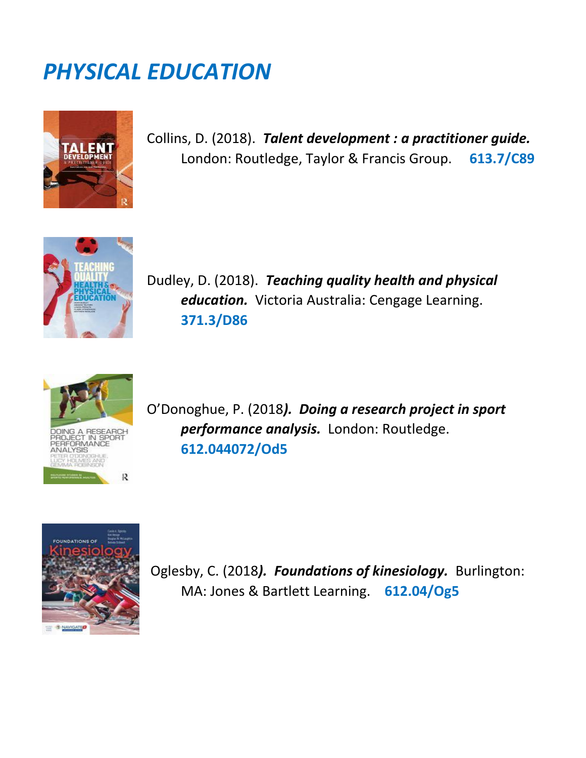### *PHYSICAL EDUCATION*



 Collins, D. (2018). *Talent development : a practitioner guide.* London: Routledge, Taylor & Francis Group. **613.7/C89**



 Dudley, D. (2018). *Teaching quality health and physical education.* Victoria Australia: Cengage Learning. **371.3/D86**



 O'Donoghue, P. (2018*). Doing a research project in sport performance analysis.* London: Routledge. **612.044072/Od5**



Oglesby, C. (2018*). Foundations of kinesiology.* Burlington: MA: Jones & Bartlett Learning. **612.04/Og5**